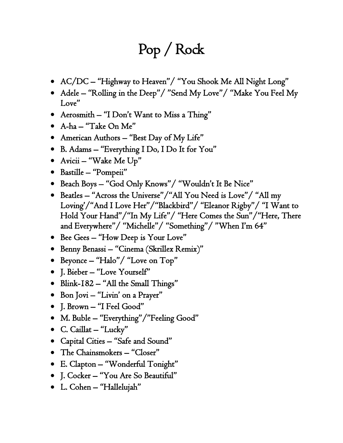## Pop / Rock

- AC/DC "Highway to Heaven"/ "You Shook Me All Night Long"
- Adele "Rolling in the Deep"/ "Send My Love"/ "Make You Feel My Love"
- Aerosmith "I Don't Want to Miss a Thing"
- A-ha "Take On Me"
- American Authors "Best Day of My Life"
- B. Adams "Everything I Do, I Do It for You"
- Avicii "Wake Me Up"
- Bastille "Pompeii"
- Beach Boys "God Only Knows"/ "Wouldn't It Be Nice"
- Beatles "Across the Universe"/"All You Need is Love"/ "All my Loving'/"And I Love Her"/"Blackbird"/ "Eleanor Rigby"/ "I Want to Hold Your Hand"/"In My Life"/ "Here Comes the Sun"/"Here, There and Everywhere"/ "Michelle"/ "Something"/ "When I'm 64"
- Bee Gees "How Deep is Your Love"
- Benny Benassi "Cinema (Skrillex Remix)"
- Beyonce "Halo"/ "Love on Top"
- J. Bieber "Love Yourself"
- Blink-182 "All the Small Things"
- Bon Jovi "Livin' on a Prayer"
- J. Brown "I Feel Good"
- M. Buble "Everything"/"Feeling Good"
- C. Caillat "Lucky"
- Capital Cities "Safe and Sound"
- The Chainsmokers "Closer"
- E. Clapton "Wonderful Tonight"
- J. Cocker "You Are So Beautiful"
- L. Cohen "Hallelujah"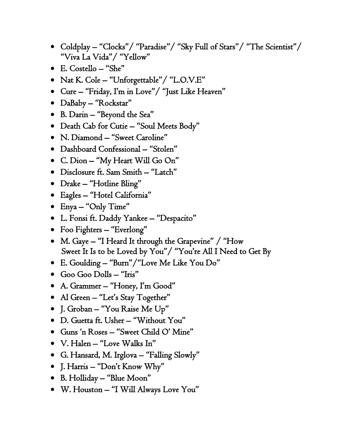- Coldplay "Clocks"/ "Paradise"/ "Sky Full of Stars"/ "The Scientist"/ "Viva La Vida"/ "Yellow"
- E. Costello "She"
- Nat K. Cole "Unforgettable"/ "L.O.V.E"
- Cure "Friday, I'm in Love"/ "Just Like Heaven"
- DaBaby "Rockstar"
- B. Darin "Beyond the Sea"
- Death Cab for Cutie "Soul Meets Body"
- N. Diamond "Sweet Caroline"
- Dashboard Confessional "Stolen"
- C. Dion "My Heart Will Go On"
- Disclosure ft. Sam Smith "Latch"
- Drake "Hotline Bling"
- Eagles "Hotel California"
- Enya "Only Time"
- L. Fonsi ft. Daddy Yankee "Despacito"
- Foo Fighters "Everlong"
- M. Gaye "I Heard It through the Grapevine" / "How Sweet It Is to be Loved by You"/ "You're All I Need to Get By
- E. Goulding "Burn"/"Love Me Like You Do"
- Goo Goo Dolls "Iris"
- A. Grammer "Honey, I'm Good"
- Al Green "Let's Stay Together"
- J. Groban "You Raise Me Up"
- D. Guetta ft. Usher "Without You"
- Guns 'n Roses "Sweet Child O' Mine"
- V. Halen "Love Walks In"
- G. Hansard, M. Irglova "Falling Slowly"
- J. Harris "Don't Know Why"
- B. Holliday "Blue Moon"
- W. Houston "I Will Always Love You"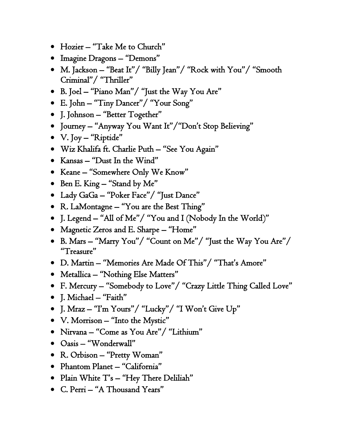- Hozier "Take Me to Church"
- Imagine Dragons "Demons"
- M. Jackson "Beat It"/ "Billy Jean"/ "Rock with You"/ "Smooth Criminal"/ "Thriller"
- B. Joel "Piano Man"/ "Just the Way You Are"
- E. John "Tiny Dancer"/ "Your Song"
- J. Johnson "Better Together"
- Journey "Anyway You Want It"/"Don't Stop Believing"
- V. Joy "Riptide"
- Wiz Khalifa ft. Charlie Puth "See You Again"
- Kansas "Dust In the Wind"
- Keane "Somewhere Only We Know"
- Ben E. King "Stand by Me"
- Lady GaGa "Poker Face"/ "Just Dance"
- R. LaMontagne "You are the Best Thing"
- J. Legend "All of Me"/ "You and I (Nobody In the World)"
- Magnetic Zeros and E. Sharpe "Home"
- B. Mars "Marry You"/ "Count on Me"/ "Just the Way You Are"/ "Treasure"
- D. Martin "Memories Are Made Of This"/ "That's Amore"
- Metallica "Nothing Else Matters"
- F. Mercury "Somebody to Love"/ "Crazy Little Thing Called Love"
- J. Michael "Faith"
- J. Mraz "I'm Yours"/ "Lucky"/ "I Won't Give Up"
- V. Morrison "Into the Mystic"
- Nirvana "Come as You Are"/ "Lithium"
- Oasis "Wonderwall"
- R. Orbison "Pretty Woman"
- Phantom Planet "California"
- Plain White T's "Hey There Deliliah"
- C. Perri "A Thousand Years"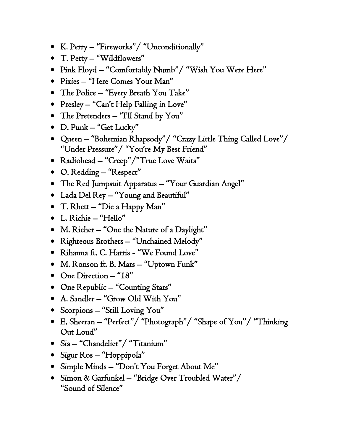- K. Perry "Fireworks"/ "Unconditionally"
- T. Petty "Wildflowers"
- Pink Floyd "Comfortably Numb"/ "Wish You Were Here"
- Pixies "Here Comes Your Man"
- The Police "Every Breath You Take"
- Presley "Can't Help Falling in Love"
- The Pretenders "I'll Stand by You"
- D. Punk "Get Lucky"
- Queen "Bohemian Rhapsody"/ "Crazy Little Thing Called Love"/ "Under Pressure"/ "You're My Best Friend"
- Radiohead "Creep"/"True Love Waits"
- O. Redding "Respect"
- The Red Jumpsuit Apparatus "Your Guardian Angel"
- Lada Del Rey "Young and Beautiful"
- T. Rhett "Die a Happy Man"
- L. Richie "Hello"
- M. Richer "One the Nature of a Daylight"
- Righteous Brothers "Unchained Melody"
- Rihanna ft. C. Harris "We Found Love"
- M. Ronson ft. B. Mars "Uptown Funk"
- One Direction "18"
- One Republic "Counting Stars"
- A. Sandler "Grow Old With You"
- Scorpions "Still Loving You"
- E. Sheeran "Perfect"/ "Photograph"/ "Shape of You"/ "Thinking Out Loud"
- Sia "Chandelier"/ "Titanium"
- Sigur Ros "Hoppipola"
- Simple Minds "Don't You Forget About Me"
- Simon & Garfunkel "Bridge Over Troubled Water"/ "Sound of Silence"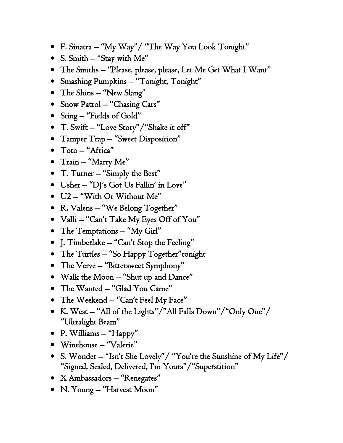- F. Sinatra "My Way"/ "The Way You Look Tonight"
- S. Smith "Stay with Me"
- The Smiths "Please, please, please, Let Me Get What I Want"
- Smashing Pumpkins "Tonight, Tonight"
- The Shins "New Slang"
- Snow Patrol "Chasing Cars"
- Sting "Fields of Gold"
- T. Swift "Love Story"/"Shake it off"
- Tamper Trap "Sweet Disposition"
- Toto "Africa"
- Train "Marry Me"
- T. Turner "Simply the Best"
- Usher "DJ's Got Us Fallin' in Love"
- U2 "With Or Without Me"
- R. Valens "We Belong Together"
- Valli "Can't Take My Eyes Off of You"
- The Temptations "My Girl"
- J. Timberlake "Can't Stop the Feeling"
- The Turtles "So Happy Together"tonight
- The Verve "Bittersweet Symphony"
- Walk the Moon "Shut up and Dance"
- The Wanted "Glad You Came"
- The Weekend "Can't Feel My Face"
- K. West "All of the Lights"/"All Falls Down"/"Only One"/ "Ultralight Beam"
- P. Williams "Happy"
- Winehouse "Valerie"
- S. Wonder "Isn't She Lovely"/ "You're the Sunshine of My Life"/ "Signed, Sealed, Delivered, I'm Yours"/"Superstition"
- X Ambassadors "Renegates"
- N. Young "Harvest Moon"